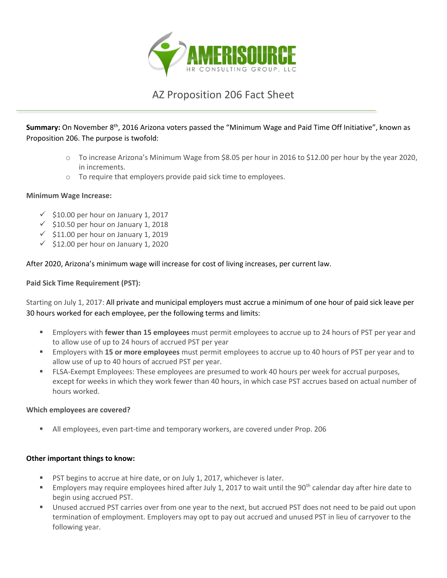

# AZ Proposition 206 Fact Sheet

**Summary:** On November 8th, 2016 Arizona voters passed the "Minimum Wage and Paid Time Off Initiative", known as Proposition 206. The purpose is twofold:

- o To increase Arizona's Minimum Wage from \$8.05 per hour in 2016 to \$12.00 per hour by the year 2020, in increments.
- o To require that employers provide paid sick time to employees.

#### **Minimum Wage Increase:**

- $\checkmark$  \$10.00 per hour on January 1, 2017
- $\checkmark$  \$10.50 per hour on January 1, 2018
- $\checkmark$  \$11.00 per hour on January 1, 2019
- $\checkmark$  \$12.00 per hour on January 1, 2020

After 2020, Arizona's minimum wage will increase for cost of living increases, per current law.

**Paid Sick Time Requirement (PST):**

Starting on July 1, 2017: All private and municipal employers must accrue a minimum of one hour of paid sick leave per 30 hours worked for each employee, per the following terms and limits:

- Employers with **fewer than 15 employees** must permit employees to accrue up to 24 hours of PST per year and to allow use of up to 24 hours of accrued PST per year
- Employers with **15 or more employees** must permit employees to accrue up to 40 hours of PST per year and to allow use of up to 40 hours of accrued PST per year.
- **FLSA-Exempt Employees: These employees are presumed to work 40 hours per week for accrual purposes,** except for weeks in which they work fewer than 40 hours, in which case PST accrues based on actual number of hours worked.

#### **Which employees are covered?**

All employees, even part-time and temporary workers, are covered under Prop. 206

#### **Other important things to know:**

- PST begins to accrue at hire date, or on July 1, 2017, whichever is later.
- **Employers may require employees hired after July 1, 2017 to wait until the 90<sup>th</sup> calendar day after hire date to** begin using accrued PST.
- Unused accrued PST carries over from one year to the next, but accrued PST does not need to be paid out upon termination of employment. Employers may opt to pay out accrued and unused PST in lieu of carryover to the following year.